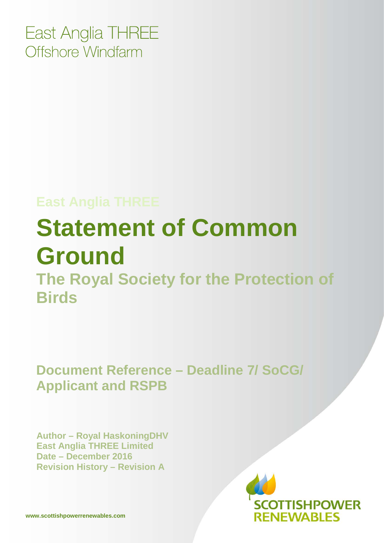East Anglia THREE Offshore Windfarm

## **East Anglia THREE**

# **Statement of Common Ground**

**The Royal Society for the Protection of Birds** 

**Document Reference – Deadline 7/ SoCG/ Applicant and RSPB**

**Author – Royal HaskoningDHV East Anglia THREE Limited Date – December 2016 Revision History – Revision A** 

**OTTISHPOWER RENEWABLES** 

**www.scottishpowerrenewables.com**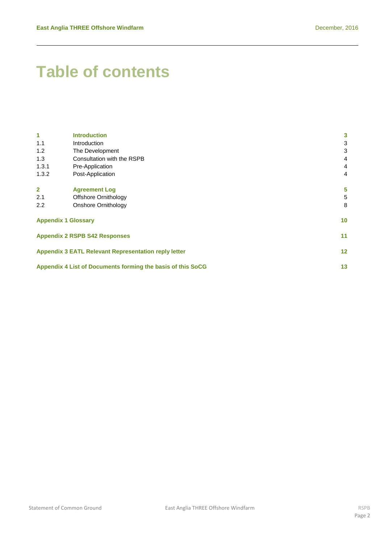# **Table of contents**

| $\blacktriangleleft$                                        | <b>Introduction</b>         | 3                 |
|-------------------------------------------------------------|-----------------------------|-------------------|
| 1.1                                                         | Introduction                | 3                 |
| 1.2                                                         | The Development             | 3                 |
| 1.3                                                         | Consultation with the RSPB  | 4                 |
| 1.3.1                                                       | Pre-Application             | 4                 |
| 1.3.2                                                       | Post-Application            | 4                 |
| $\mathbf{2}$                                                |                             |                   |
|                                                             | <b>Agreement Log</b>        | 5                 |
| 2.1                                                         | <b>Offshore Ornithology</b> | 5                 |
| 2.2                                                         | <b>Onshore Ornithology</b>  | 8                 |
|                                                             | <b>Appendix 1 Glossary</b>  | 10                |
| <b>Appendix 2 RSPB S42 Responses</b>                        |                             | 11                |
| <b>Appendix 3 EATL Relevant Representation reply letter</b> |                             | $12 \overline{ }$ |
| Appendix 4 List of Documents forming the basis of this SoCG |                             | 13                |
|                                                             |                             |                   |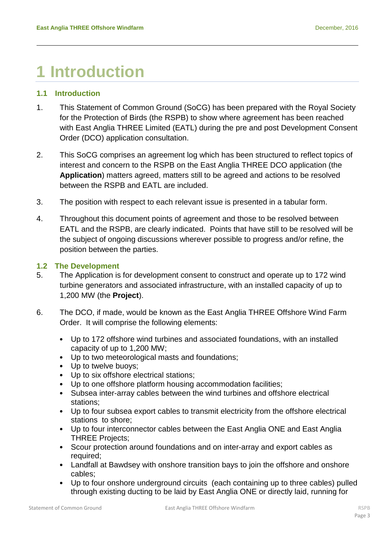# <span id="page-2-0"></span>**1 Introduction**

### <span id="page-2-1"></span>**1.1 Introduction**

- 1. This Statement of Common Ground (SoCG) has been prepared with the Royal Society for the Protection of Birds (the RSPB) to show where agreement has been reached with East Anglia THREE Limited (EATL) during the pre and post Development Consent Order (DCO) application consultation.
- 2. This SoCG comprises an agreement log which has been structured to reflect topics of interest and concern to the RSPB on the East Anglia THREE DCO application (the **Application**) matters agreed, matters still to be agreed and actions to be resolved between the RSPB and EATL are included.
- 3. The position with respect to each relevant issue is presented in a tabular form.
- 4. Throughout this document points of agreement and those to be resolved between EATL and the RSPB, are clearly indicated. Points that have still to be resolved will be the subject of ongoing discussions wherever possible to progress and/or refine, the position between the parties.

### <span id="page-2-2"></span>**1.2 The Development**

- 5. The Application is for development consent to construct and operate up to 172 wind turbine generators and associated infrastructure, with an installed capacity of up to 1,200 MW (the **Project**).
- 6. The DCO, if made, would be known as the East Anglia THREE Offshore Wind Farm Order. It will comprise the following elements:
	- Up to 172 offshore wind turbines and associated foundations, with an installed capacity of up to 1,200 MW;
	- Up to two meteorological masts and foundations;
	- Up to twelve buoys;
	- Up to six offshore electrical stations;
	- Up to one offshore platform housing accommodation facilities;
	- Subsea inter-array cables between the wind turbines and offshore electrical stations;
	- Up to four subsea export cables to transmit electricity from the offshore electrical stations to shore;
	- Up to four interconnector cables between the East Anglia ONE and East Anglia THREE Projects;
	- Scour protection around foundations and on inter-array and export cables as required;
	- Landfall at Bawdsey with onshore transition bays to join the offshore and onshore cables;
	- Up to four onshore underground circuits (each containing up to three cables) pulled through existing ducting to be laid by East Anglia ONE or directly laid, running for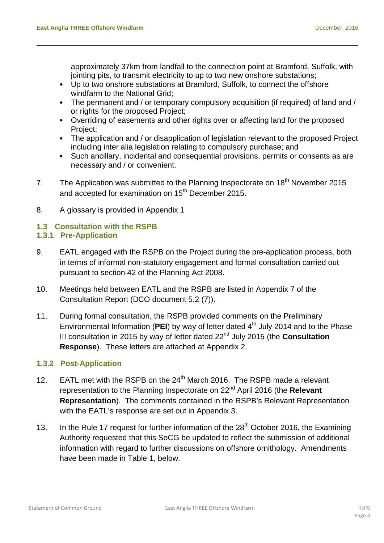approximately 37km from landfall to the connection point at Bramford, Suffolk, with jointing pits, to transmit electricity to up to two new onshore substations;

- Up to two onshore substations at Bramford, Suffolk, to connect the offshore windfarm to the National Grid;
- The permanent and / or temporary compulsory acquisition (if required) of land and / or rights for the proposed Project;
- Overriding of easements and other rights over or affecting land for the proposed Project;
- The application and / or disapplication of legislation relevant to the proposed Project including inter alia legislation relating to compulsory purchase; and
- Such ancillary, incidental and consequential provisions, permits or consents as are necessary and / or convenient.
- 7. The Application was submitted to the Planning Inspectorate on 18<sup>th</sup> November 2015 and accepted for examination on 15<sup>th</sup> December 2015.
- 8. A glossary is provided in Appendix 1

### <span id="page-3-1"></span><span id="page-3-0"></span>**1.3 Consultation with the RSPB 1.3.1 Pre-Application**

- 9. EATL engaged with the RSPB on the Project during the pre-application process, both in terms of informal non-statutory engagement and formal consultation carried out pursuant to section 42 of the Planning Act 2008.
- 10. Meetings held between EATL and the RSPB are listed in Appendix 7 of the Consultation Report (DCO document 5.2 (7)).
- 11. During formal consultation, the RSPB provided comments on the Preliminary Environmental Information (PEI) by way of letter dated 4<sup>th</sup> July 2014 and to the Phase III consultation in 2015 by way of letter dated 22nd July 2015 (the **Consultation Response**). These letters are attached at Appendix 2.

### <span id="page-3-2"></span>**1.3.2 Post-Application**

- 12. EATL met with the RSPB on the 24<sup>th</sup> March 2016. The RSPB made a relevant representation to the Planning Inspectorate on 22nd April 2016 (the **Relevant Representation**). The comments contained in the RSPB's Relevant Representation with the EATL's response are set out in Appendix 3.
- 13. In the Rule 17 request for further information of the 28<sup>th</sup> October 2016, the Examining Authority requested that this SoCG be updated to reflect the submission of additional information with regard to further discussions on offshore ornithology. Amendments have been made in Table 1, below.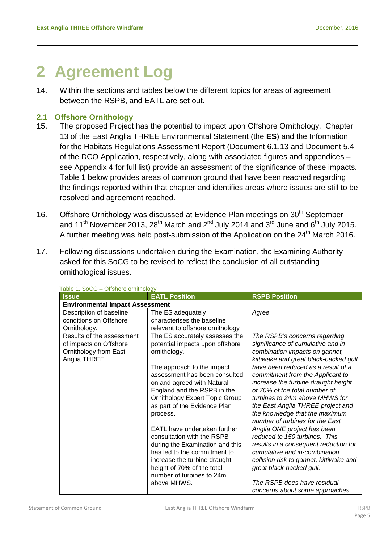# <span id="page-4-0"></span>**2 Agreement Log**

14. Within the sections and tables below the different topics for areas of agreement between the RSPB, and EATL are set out.

### <span id="page-4-1"></span>**2.1 Offshore Ornithology**

- 15. The proposed Project has the potential to impact upon Offshore Ornithology. Chapter 13 of the East Anglia THREE Environmental Statement (the **ES**) and the Information for the Habitats Regulations Assessment Report (Document 6.1.13 and Document 5.4 of the DCO Application, respectively, along with associated figures and appendices – see Appendix 4 for full list) provide an assessment of the significance of these impacts. Table 1 below provides areas of common ground that have been reached regarding the findings reported within that chapter and identifies areas where issues are still to be resolved and agreement reached.
- 16. Offshore Ornithology was discussed at Evidence Plan meetings on 30<sup>th</sup> September and 11<sup>th</sup> November 2013, 28<sup>th</sup> March and 2<sup>nd</sup> July 2014 and 3<sup>rd</sup> June and 6<sup>th</sup> July 2015. A further meeting was held post-submission of the Application on the 24<sup>th</sup> March 2016.
- 17. Following discussions undertaken during the Examination, the Examining Authority asked for this SoCG to be revised to reflect the conclusion of all outstanding ornithological issues.

| Issue                                  | <b>EATL Position</b>                  | <b>RSPB Position</b>                    |  |
|----------------------------------------|---------------------------------------|-----------------------------------------|--|
| <b>Environmental Impact Assessment</b> |                                       |                                         |  |
| Description of baseline                | The ES adequately                     | Agree                                   |  |
| conditions on Offshore                 | characterises the baseline            |                                         |  |
| Ornithology.                           | relevant to offshore ornithology      |                                         |  |
| Results of the assessment              | The ES accurately assesses the        | The RSPB's concerns regarding           |  |
| of impacts on Offshore                 | potential impacts upon offshore       | significance of cumulative and in-      |  |
| Ornithology from East                  | ornithology.                          | combination impacts on gannet,          |  |
| Anglia THREE                           |                                       | kittiwake and great black-backed gull   |  |
|                                        | The approach to the impact            | have been reduced as a result of a      |  |
|                                        | assessment has been consulted         | commitment from the Applicant to        |  |
|                                        | on and agreed with Natural            | increase the turbine draught height     |  |
|                                        | England and the RSPB in the           | of 70% of the total number of           |  |
|                                        | <b>Ornithology Expert Topic Group</b> | turbines to 24m above MHWS for          |  |
|                                        | as part of the Evidence Plan          | the East Anglia THREE project and       |  |
|                                        | process.                              | the knowledge that the maximum          |  |
|                                        |                                       | number of turbines for the East         |  |
|                                        | EATL have undertaken further          | Anglia ONE project has been             |  |
|                                        | consultation with the RSPB            | reduced to 150 turbines. This           |  |
|                                        | during the Examination and this       | results in a consequent reduction for   |  |
|                                        | has led to the commitment to          | cumulative and in-combination           |  |
|                                        | increase the turbine draught          | collision risk to gannet, kittiwake and |  |
|                                        | height of 70% of the total            | great black-backed gull.                |  |
|                                        | number of turbines to 24m             |                                         |  |
|                                        | above MHWS.                           | The RSPB does have residual             |  |
|                                        |                                       | concerns about some approaches          |  |

### Table 1. SoCG – Offshore ornithology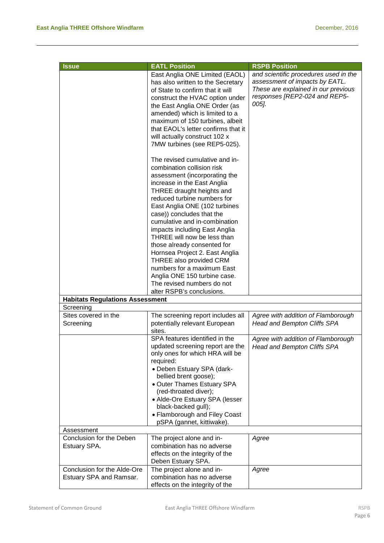| <b>Issue</b>                           | <b>EATL Position</b>                                | <b>RSPB Position</b>                  |
|----------------------------------------|-----------------------------------------------------|---------------------------------------|
|                                        | East Anglia ONE Limited (EAOL)                      | and scientific procedures used in the |
|                                        | has also written to the Secretary                   | assessment of impacts by EATL.        |
|                                        | of State to confirm that it will                    | These are explained in our previous   |
|                                        |                                                     | responses [REP2-024 and REP5-         |
|                                        | construct the HVAC option under                     | 005].                                 |
|                                        | the East Anglia ONE Order (as                       |                                       |
|                                        | amended) which is limited to a                      |                                       |
|                                        | maximum of 150 turbines, albeit                     |                                       |
|                                        | that EAOL's letter confirms that it                 |                                       |
|                                        | will actually construct 102 x                       |                                       |
|                                        | 7MW turbines (see REP5-025).                        |                                       |
|                                        | The revised cumulative and in-                      |                                       |
|                                        | combination collision risk                          |                                       |
|                                        | assessment (incorporating the                       |                                       |
|                                        | increase in the East Anglia                         |                                       |
|                                        | THREE draught heights and                           |                                       |
|                                        | reduced turbine numbers for                         |                                       |
|                                        | East Anglia ONE (102 turbines                       |                                       |
|                                        | case)) concludes that the                           |                                       |
|                                        | cumulative and in-combination                       |                                       |
|                                        | impacts including East Anglia                       |                                       |
|                                        | THREE will now be less than                         |                                       |
|                                        |                                                     |                                       |
|                                        | those already consented for                         |                                       |
|                                        | Hornsea Project 2. East Anglia                      |                                       |
|                                        | THREE also provided CRM                             |                                       |
|                                        | numbers for a maximum East                          |                                       |
|                                        | Anglia ONE 150 turbine case.                        |                                       |
|                                        | The revised numbers do not                          |                                       |
|                                        | alter RSPB's conclusions.                           |                                       |
| <b>Habitats Regulations Assessment</b> |                                                     |                                       |
| Screening                              |                                                     |                                       |
| Sites covered in the                   | The screening report includes all                   | Agree with addition of Flamborough    |
| Screening                              | potentially relevant European<br>sites.             | <b>Head and Bempton Cliffs SPA</b>    |
|                                        | SPA features identified in the                      | Agree with addition of Flamborough    |
|                                        | updated screening report are the                    | <b>Head and Bempton Cliffs SPA</b>    |
|                                        | only ones for which HRA will be                     |                                       |
|                                        | required:                                           |                                       |
|                                        | • Deben Estuary SPA (dark-<br>bellied brent goose); |                                       |
|                                        | • Outer Thames Estuary SPA                          |                                       |
|                                        | (red-throated diver);                               |                                       |
|                                        | • Alde-Ore Estuary SPA (lesser                      |                                       |
|                                        | black-backed gull);                                 |                                       |
|                                        | • Flamborough and Filey Coast                       |                                       |
|                                        | pSPA (gannet, kittiwake).                           |                                       |
| Assessment                             |                                                     |                                       |
| Conclusion for the Deben               | The project alone and in-                           | Agree                                 |
| Estuary SPA.                           | combination has no adverse                          |                                       |
|                                        | effects on the integrity of the                     |                                       |
|                                        | Deben Estuary SPA.                                  |                                       |
| Conclusion for the Alde-Ore            | The project alone and in-                           | Agree                                 |
| Estuary SPA and Ramsar.                | combination has no adverse                          |                                       |
|                                        | effects on the integrity of the                     |                                       |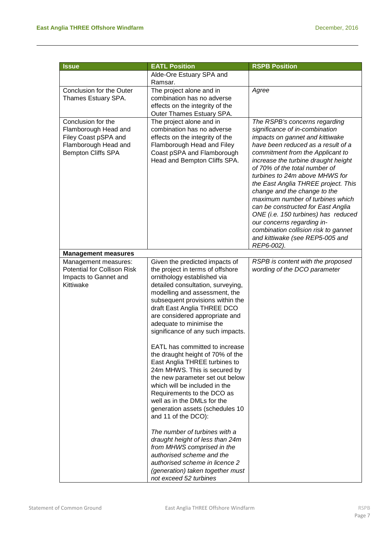| <b>Issue</b>                                                                                                            | <b>EATL Position</b>                                                                                                                                                                                                                                                                                                                                                                                                                                                                                                                                                                                                                                                                                                                                                                                                                                                                                           | <b>RSPB Position</b>                                                                                                                                                                                                                                                                                                                                                                                                                                                                                                                                                                                  |
|-------------------------------------------------------------------------------------------------------------------------|----------------------------------------------------------------------------------------------------------------------------------------------------------------------------------------------------------------------------------------------------------------------------------------------------------------------------------------------------------------------------------------------------------------------------------------------------------------------------------------------------------------------------------------------------------------------------------------------------------------------------------------------------------------------------------------------------------------------------------------------------------------------------------------------------------------------------------------------------------------------------------------------------------------|-------------------------------------------------------------------------------------------------------------------------------------------------------------------------------------------------------------------------------------------------------------------------------------------------------------------------------------------------------------------------------------------------------------------------------------------------------------------------------------------------------------------------------------------------------------------------------------------------------|
|                                                                                                                         | Alde-Ore Estuary SPA and                                                                                                                                                                                                                                                                                                                                                                                                                                                                                                                                                                                                                                                                                                                                                                                                                                                                                       |                                                                                                                                                                                                                                                                                                                                                                                                                                                                                                                                                                                                       |
|                                                                                                                         | Ramsar.                                                                                                                                                                                                                                                                                                                                                                                                                                                                                                                                                                                                                                                                                                                                                                                                                                                                                                        |                                                                                                                                                                                                                                                                                                                                                                                                                                                                                                                                                                                                       |
| Conclusion for the Outer                                                                                                | The project alone and in                                                                                                                                                                                                                                                                                                                                                                                                                                                                                                                                                                                                                                                                                                                                                                                                                                                                                       | Agree                                                                                                                                                                                                                                                                                                                                                                                                                                                                                                                                                                                                 |
| Thames Estuary SPA.                                                                                                     | combination has no adverse                                                                                                                                                                                                                                                                                                                                                                                                                                                                                                                                                                                                                                                                                                                                                                                                                                                                                     |                                                                                                                                                                                                                                                                                                                                                                                                                                                                                                                                                                                                       |
|                                                                                                                         | effects on the integrity of the                                                                                                                                                                                                                                                                                                                                                                                                                                                                                                                                                                                                                                                                                                                                                                                                                                                                                |                                                                                                                                                                                                                                                                                                                                                                                                                                                                                                                                                                                                       |
|                                                                                                                         | Outer Thames Estuary SPA.                                                                                                                                                                                                                                                                                                                                                                                                                                                                                                                                                                                                                                                                                                                                                                                                                                                                                      |                                                                                                                                                                                                                                                                                                                                                                                                                                                                                                                                                                                                       |
| Conclusion for the<br>Flamborough Head and<br>Filey Coast pSPA and<br>Flamborough Head and<br><b>Bempton Cliffs SPA</b> | The project alone and in<br>combination has no adverse<br>effects on the integrity of the<br>Flamborough Head and Filey<br>Coast pSPA and Flamborough<br>Head and Bempton Cliffs SPA.                                                                                                                                                                                                                                                                                                                                                                                                                                                                                                                                                                                                                                                                                                                          | The RSPB's concerns regarding<br>significance of in-combination<br>impacts on gannet and kittiwake<br>have been reduced as a result of a<br>commitment from the Applicant to<br>increase the turbine draught height<br>of 70% of the total number of<br>turbines to 24m above MHWS for<br>the East Anglia THREE project. This<br>change and the change to the<br>maximum number of turbines which<br>can be constructed for East Anglia<br>ONE (i.e. 150 turbines) has reduced<br>our concerns regarding in-<br>combination collision risk to gannet<br>and kittiwake (see REP5-005 and<br>REP6-002). |
| <b>Management measures</b>                                                                                              |                                                                                                                                                                                                                                                                                                                                                                                                                                                                                                                                                                                                                                                                                                                                                                                                                                                                                                                |                                                                                                                                                                                                                                                                                                                                                                                                                                                                                                                                                                                                       |
| Management measures:<br><b>Potential for Collison Risk</b><br>Impacts to Gannet and<br>Kittiwake                        | Given the predicted impacts of<br>the project in terms of offshore<br>ornithology established via<br>detailed consultation, surveying,<br>modelling and assessment, the<br>subsequent provisions within the<br>draft East Anglia THREE DCO<br>are considered appropriate and<br>adequate to minimise the<br>significance of any such impacts.<br>EATL has committed to increase<br>the draught height of 70% of the<br>East Anglia THREE turbines to<br>24m MHWS. This is secured by<br>the new parameter set out below<br>which will be included in the<br>Requirements to the DCO as<br>well as in the DMLs for the<br>generation assets (schedules 10<br>and 11 of the DCO):<br>The number of turbines with a<br>draught height of less than 24m<br>from MHWS comprised in the<br>authorised scheme and the<br>authorised scheme in licence 2<br>(generation) taken together must<br>not exceed 52 turbines | RSPB is content with the proposed<br>wording of the DCO parameter                                                                                                                                                                                                                                                                                                                                                                                                                                                                                                                                     |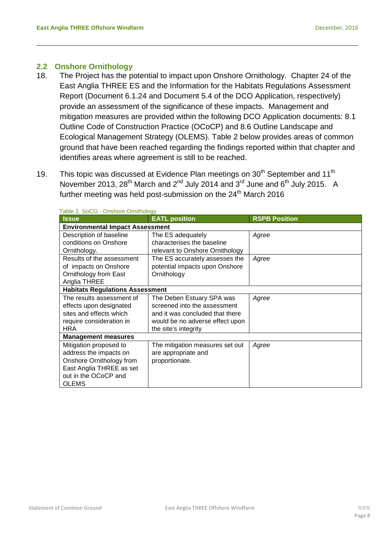### <span id="page-7-0"></span>**2.2 Onshore Ornithology**

- 18. The Project has the potential to impact upon Onshore Ornithology. Chapter 24 of the East Anglia THREE ES and the Information for the Habitats Regulations Assessment Report (Document 6.1.24 and Document 5.4 of the DCO Application, respectively) provide an assessment of the significance of these impacts. Management and mitigation measures are provided within the following DCO Application documents: 8.1 Outline Code of Construction Practice (OCoCP) and 8.6 Outline Landscape and Ecological Management Strategy (OLEMS). Table 2 below provides areas of common ground that have been reached regarding the findings reported within that chapter and identifies areas where agreement is still to be reached.
- 19. This topic was discussed at Evidence Plan meetings on  $30<sup>th</sup>$  September and 11<sup>th</sup> November 2013, 28<sup>th</sup> March and 2<sup>nd</sup> July 2014 and 3<sup>rd</sup> June and 6<sup>th</sup> July 2015. A further meeting was held post-submission on the  $24<sup>th</sup>$  March 2016

| $\frac{1}{2}$ and 2. $\frac{1}{2}$ and $\frac{1}{2}$ - Original contribution of $\frac{1}{2}$ |                                 |                      |  |
|-----------------------------------------------------------------------------------------------|---------------------------------|----------------------|--|
| <b>Issue</b>                                                                                  | <b>EATL position</b>            | <b>RSPB Position</b> |  |
| <b>Environmental Impact Assessment</b>                                                        |                                 |                      |  |
| Description of baseline                                                                       | The ES adequately               | Agree                |  |
| conditions on Onshore                                                                         | characterises the baseline      |                      |  |
| Ornithology.                                                                                  | relevant to Onshore Ornithology |                      |  |
| Results of the assessment                                                                     | The ES accurately assesses the  | Agree                |  |
| of impacts on Onshore                                                                         | potential impacts upon Onshore  |                      |  |
| Ornithology from East                                                                         | Ornithology                     |                      |  |
| Anglia THREE                                                                                  |                                 |                      |  |
| <b>Habitats Regulations Assessment</b>                                                        |                                 |                      |  |
| The results assessment of                                                                     | The Deben Estuary SPA was       | Agree                |  |
| effects upon designated                                                                       | screened into the assessment    |                      |  |
| sites and effects which                                                                       | and it was concluded that there |                      |  |
| require consideration in                                                                      | would be no adverse effect upon |                      |  |
| <b>HRA</b>                                                                                    | the site's integrity            |                      |  |
| <b>Management measures</b>                                                                    |                                 |                      |  |
| Mitigation proposed to                                                                        | The mitigation measures set out | Agree                |  |
| address the impacts on                                                                        | are appropriate and             |                      |  |
| Onshore Ornithology from                                                                      | proportionate.                  |                      |  |
| East Anglia THREE as set                                                                      |                                 |                      |  |
| out in the OCoCP and                                                                          |                                 |                      |  |
| <b>OLEMS</b>                                                                                  |                                 |                      |  |

### Table 2. SoCG - Onshore Ornithology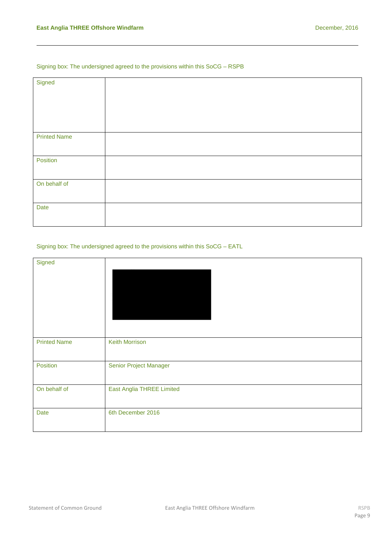### Signing box: The undersigned agreed to the provisions within this SoCG – RSPB

| Signed              |  |
|---------------------|--|
|                     |  |
|                     |  |
|                     |  |
|                     |  |
|                     |  |
|                     |  |
|                     |  |
|                     |  |
|                     |  |
|                     |  |
|                     |  |
| <b>Printed Name</b> |  |
|                     |  |
|                     |  |
|                     |  |
|                     |  |
| Position            |  |
|                     |  |
|                     |  |
|                     |  |
|                     |  |
| On behalf of        |  |
|                     |  |
|                     |  |
|                     |  |
|                     |  |
| Date                |  |
|                     |  |
|                     |  |
|                     |  |
|                     |  |

### Signing box: The undersigned agreed to the provisions within this SoCG – EATL

| Signed              |                                  |
|---------------------|----------------------------------|
| <b>Printed Name</b> | <b>Keith Morrison</b>            |
| Position            | Senior Project Manager           |
| On behalf of        | <b>East Anglia THREE Limited</b> |
| Date                | 6th December 2016                |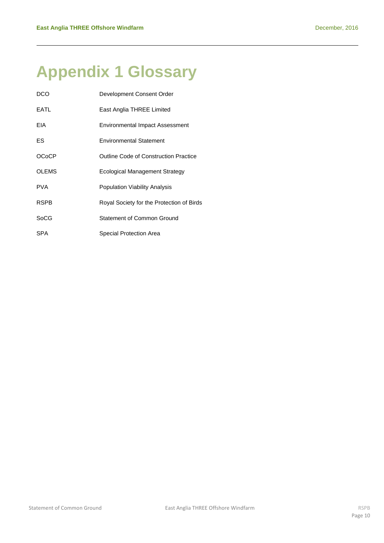# <span id="page-9-0"></span>**Appendix 1 Glossary**

| <b>DCO</b>   | Development Consent Order                 |
|--------------|-------------------------------------------|
| EATL         | East Anglia THREE Limited                 |
| EIA          | <b>Environmental Impact Assessment</b>    |
| ES           | <b>Environmental Statement</b>            |
| <b>OCoCP</b> | Outline Code of Construction Practice     |
| <b>OLEMS</b> | <b>Ecological Management Strategy</b>     |
| PVA          | <b>Population Viability Analysis</b>      |
| <b>RSPB</b>  | Royal Society for the Protection of Birds |
| SoCG         | <b>Statement of Common Ground</b>         |
| SPA          | Special Protection Area                   |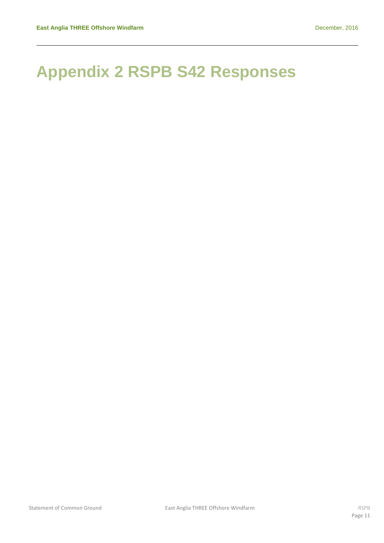# <span id="page-10-0"></span>**Appendix 2 RSPB S42 Responses**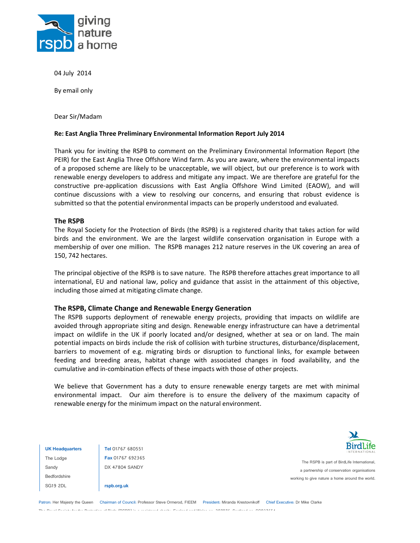

04 July 2014

By email only

Dear Sir/Madam

#### Re: East Anglia Three Preliminary Environmental Information Report July

Thank you for inviting the RSPB to comment on the Preliminary Environmental Information Report (the PEIR) for the East Anglia Three Offshore Wind farm. As you are aware, where the environmental impacts of a proposed scheme are likely to be unacceptable, we will object, but our preference is to work with<br>renewable energy developers to address and mitigate any impact. We are therefore are grateful for the renewable energy developers to address and mitigate any impact. We are therefore are grateful for the constructive pre-application discussions with East Anglia Offshore Wind Limited (EAOW), and will continue discussions with a view to resolving our concerns, and ensuring that robust evidence is submitted so that the potential environmental impacts can be properly understood and evaluated. reliminary Environmental Information Report July 2014<br>
the RSPB to comment on the Preliminary Environmental<br>
an Three Offshore Wind farm. As you are aware, where the<br>
are likely to be unacceptable, we will object, but our

#### The RSPB

The Royal Society for the Protection of Birds (the RSPB) is a registered charity that takes action for wild birds and the environment. We are the largest wildlife conservation organisation in Europe with a membership of over one million. The RSPB manages 212 nature reserves in the UK covering an area of 150, 742 hectares.

The principal objective of the RSPB is to save nature. The RSPB therefore attaches great importance to all international, EU and national law, policy and guidance that assist in the attainment of this objective, including those aimed at mitigating climate change.

#### The RSPB, Climate Change and Renewable Energy Generation

The RSPB supports deployment of renewable energy projects, providing that impacts on wildlife are avoided through appropriate siting and design. Renewable energy infrastructure can have a detrimental impact on wildlife in the UK if poorly located and/or designed, whether at sea or on land. impact on wildlife in the UK if poorly located and/or designed, whether at sea or on land. The main<br>potential impacts on birds include the risk of collision with turbine structures, disturbance/displacement, barriers to movement of e.g. migrating birds or disruption to functional links, for example between feeding and breeding areas, habitat change with associated changes in food availability, and the cumulative and in-combination effects of these impacts with those of other projects. The RSPB, dimate the RSPB to comment on the Preliminary Environmental information Report (the act Anglia Three Offshore Wind Garm. As you are aware, where the environmental imperator and the property of a property develop potential impacts on birds include the risk of collision with turbine structures, disturbance/displacement, barriers to movement of e.g. migrating birds or disruption to functional links, for example between feeding and br

We believe that Government has a duty to ensure renewable energy targets are met with minimal environmental impact. Our aim therefore is to ensure the delivery of the maximum capacity of renewable energy for the minimum impact on the natural environment.

UK Headquarters The Lodge **Sandy** Bedfordshire

 $SG19$   $2DI$ 

Tel 01767 680551 Fax 01767 692365 DX 47804 SANDY rspb.org.uk

The RSPB is part of BirdLife International a partnership of conservation organisations working to give nature a home around the world.

Patron: Her Majesty the Queen Chairman of Council: Professor Steve Ormerod, FIEEM President: Miranda Krestovnikoff Chief Executive: Dr Mike Clarke The Royal Society for the Protection of Birds 5RSPB6 is a registered charity\$ England and Wales no8 0 Scotland no8 SC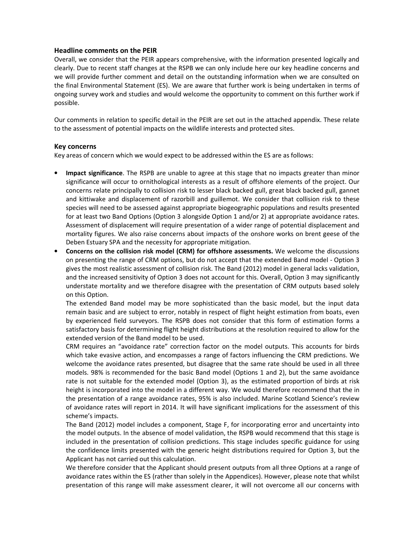#### Headline comments on the PEIR

Overall, we consider that the PEIR appears comprehensive, with the information presented logically and clearly. Due to recent staff changes at the RSPB we can only include here our key headline concerns and we will provide further comment and detail on the outstanding information when we are consulted on the final Environmental Statement (ES). We are aware that further work is being undertaken in terms of ongoing survey work and studies and would welcome the opportunity to comment on this further work if possible.

Our comments in relation to specific detail in the PEIR are set out in the attached appendix. These relate to the assessment of potential impacts on the wildlife interests and protected sites.

#### Key concerns

Key areas of concern which we would expect to be addressed within the ES are as follows:

- Impact significance. The RSPB are unable to agree at this stage that no impacts greater than minor significance will occur to ornithological interests as a result of offshore elements of the project. Our concerns relate principally to collision risk to lesser black backed gull, great black backed gull, gannet and kittiwake and displacement of razorbill and guillemot. We consider that collision risk to these species will need to be assessed against appropriate biogeographic populations and results presented for at least two Band Options (Option 3 alongside Option 1 and/or 2) at appropriate avoidance rates. Assessment of displacement will require presentation of a wider range of potential displacement and mortality figures. We also raise concerns about impacts of the onshore works on brent geese of the Deben Estuary SPA and the necessity for appropriate mitigation.
- Concerns on the collision risk model (CRM) for offshore assessments. We welcome the discussions on presenting the range of CRM options, but do not accept that the extended Band model - Option 3 gives the most realistic assessment of collision risk. The Band (2012) model in general lacks validation, and the increased sensitivity of Option 3 does not account for this. Overall, Option 3 may significantly understate mortality and we therefore disagree with the presentation of CRM outputs based solely on this Option.

The extended Band model may be more sophisticated than the basic model, but the input data remain basic and are subject to error, notably in respect of flight height estimation from boats, even by experienced field surveyors. The RSPB does not consider that this form of estimation forms a satisfactory basis for determining flight height distributions at the resolution required to allow for the extended version of the Band model to be used.

CRM requires an "avoidance rate" correction factor on the model outputs. This accounts for birds which take evasive action, and encompasses a range of factors influencing the CRM predictions. We welcome the avoidance rates presented, but disagree that the same rate should be used in all three models. 98% is recommended for the basic Band model (Options 1 and 2), but the same avoidance rate is not suitable for the extended model (Option 3), as the estimated proportion of birds at risk height is incorporated into the model in a different way. We would therefore recommend that the in the presentation of a range avoidance rates, 95% is also included. Marine Scotland Science's review of avoidance rates will report in 2014. It will have significant implications for the assessment of this scheme's impacts.

The Band (2012) model includes a component, Stage F, for incorporating error and uncertainty into the model outputs. In the absence of model validation, the RSPB would recommend that this stage is included in the presentation of collision predictions. This stage includes specific guidance for using the confidence limits presented with the generic height distributions required for Option 3, but the Applicant has not carried out this calculation.

We therefore consider that the Applicant should present outputs from all three Options at a range of avoidance rates within the ES (rather than solely in the Appendices). However, please note that whilst presentation of this range will make assessment clearer, it will not overcome all our concerns with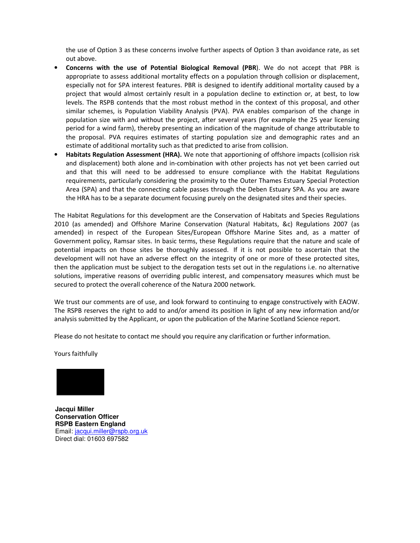the use of Option 3 as these concerns involve further aspects of Option 3 than avoidance rate, as set out above.

- Concerns with the use of Potential Biological Removal (PBR). We do not accept that PBR is appropriate to assess additional mortality effects on a population through collision or displacement, especially not for SPA interest features. PBR is designed to identify additional mortality caused by a project that would almost certainly result in a population decline to extinction or, at best, to low levels. The RSPB contends that the most robust method in the context of this proposal, and other similar schemes, is Population Viability Analysis (PVA). PVA enables comparison of the change in population size with and without the project, after several years (for example the 25 year licensing period for a wind farm), thereby presenting an indication of the magnitude of change attributable to the proposal. PVA requires estimates of starting population size and demographic rates and an estimate of additional mortality such as that predicted to arise from collision.
- Habitats Regulation Assessment (HRA). We note that apportioning of offshore impacts (collision risk and displacement) both alone and in-combination with other projects has not yet been carried out and that this will need to be addressed to ensure compliance with the Habitat Regulations requirements, particularly considering the proximity to the Outer Thames Estuary Special Protection Area (SPA) and that the connecting cable passes through the Deben Estuary SPA. As you are aware the HRA has to be a separate document focusing purely on the designated sites and their species.

The Habitat Regulations for this development are the Conservation of Habitats and Species Regulations 2010 (as amended) and Offshore Marine Conservation (Natural Habitats, &c) Regulations 2007 (as amended) in respect of the European Sites/European Offshore Marine Sites and, as a matter of Government policy, Ramsar sites. In basic terms, these Regulations require that the nature and scale of potential impacts on those sites be thoroughly assessed. If it is not possible to ascertain that the development will not have an adverse effect on the integrity of one or more of these protected sites, then the application must be subject to the derogation tests set out in the regulations i.e. no alternative solutions, imperative reasons of overriding public interest, and compensatory measures which must be secured to protect the overall coherence of the Natura 2000 network.

We trust our comments are of use, and look forward to continuing to engage constructively with EAOW. The RSPB reserves the right to add to and/or amend its position in light of any new information and/or analysis submitted by the Applicant, or upon the publication of the Marine Scotland Science report.

Please do not hesitate to contact me should you require any clarification or further information.

Yours faithfully



**Jacqui Miller Conservation Officer RSPB Eastern England**  Email: jacqui.miller@rspb.org.uk Direct dial: 01603 697582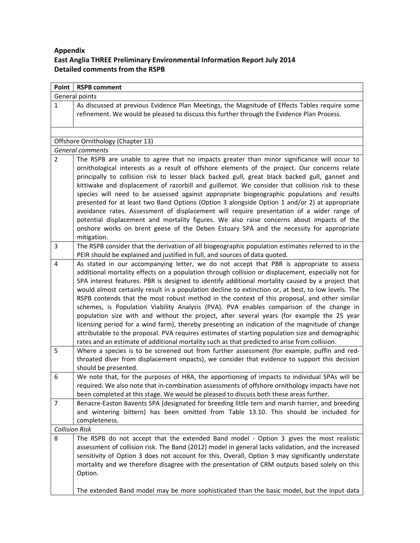### Appendix East Anglia THREE Preliminary Environmental Information Report July 2014 Detailed comments from the RSPB

| <b>Point</b>          | <b>RSPB comment</b>                                                                                                                                                                                                                                                                                                                                                                                                                                                                                                                                                                                                                                                                                                                                                                                                                                                                                                                                                                                        |  |  |
|-----------------------|------------------------------------------------------------------------------------------------------------------------------------------------------------------------------------------------------------------------------------------------------------------------------------------------------------------------------------------------------------------------------------------------------------------------------------------------------------------------------------------------------------------------------------------------------------------------------------------------------------------------------------------------------------------------------------------------------------------------------------------------------------------------------------------------------------------------------------------------------------------------------------------------------------------------------------------------------------------------------------------------------------|--|--|
| General points        |                                                                                                                                                                                                                                                                                                                                                                                                                                                                                                                                                                                                                                                                                                                                                                                                                                                                                                                                                                                                            |  |  |
| $\mathbf{1}$          | As discussed at previous Evidence Plan Meetings, the Magnitude of Effects Tables require some<br>refinement. We would be pleased to discuss this further through the Evidence Plan Process.                                                                                                                                                                                                                                                                                                                                                                                                                                                                                                                                                                                                                                                                                                                                                                                                                |  |  |
|                       |                                                                                                                                                                                                                                                                                                                                                                                                                                                                                                                                                                                                                                                                                                                                                                                                                                                                                                                                                                                                            |  |  |
|                       | Offshore Ornithology (Chapter 13)                                                                                                                                                                                                                                                                                                                                                                                                                                                                                                                                                                                                                                                                                                                                                                                                                                                                                                                                                                          |  |  |
|                       | General comments                                                                                                                                                                                                                                                                                                                                                                                                                                                                                                                                                                                                                                                                                                                                                                                                                                                                                                                                                                                           |  |  |
| $\overline{2}$        | The RSPB are unable to agree that no impacts greater than minor significance will occur to<br>ornithological interests as a result of offshore elements of the project. Our concerns relate<br>principally to collision risk to lesser black backed gull, great black backed gull, gannet and<br>kittiwake and displacement of razorbill and guillemot. We consider that collision risk to these<br>species will need to be assessed against appropriate biogeographic populations and results<br>presented for at least two Band Options (Option 3 alongside Option 1 and/or 2) at appropriate<br>avoidance rates. Assessment of displacement will require presentation of a wider range of<br>potential displacement and mortality figures. We also raise concerns about impacts of the<br>onshore works on brent geese of the Deben Estuary SPA and the necessity for appropriate<br>mitigation.                                                                                                        |  |  |
| 3                     | The RSPB consider that the derivation of all biogeographic population estimates referred to in the<br>PEIR should be explained and justified in full, and sources of data quoted.                                                                                                                                                                                                                                                                                                                                                                                                                                                                                                                                                                                                                                                                                                                                                                                                                          |  |  |
| 4                     | As stated in our accompanying letter, we do not accept that PBR is appropriate to assess<br>additional mortality effects on a population through collision or displacement, especially not for<br>SPA interest features. PBR is designed to identify additional mortality caused by a project that<br>would almost certainly result in a population decline to extinction or, at best, to low levels. The<br>RSPB contends that the most robust method in the context of this proposal, and other similar<br>schemes, is Population Viability Analysis (PVA). PVA enables comparison of the change in<br>population size with and without the project, after several years (for example the 25 year<br>licensing period for a wind farm), thereby presenting an indication of the magnitude of change<br>attributable to the proposal. PVA requires estimates of starting population size and demographic<br>rates and an estimate of additional mortality such as that predicted to arise from collision. |  |  |
| 5                     | Where a species is to be screened out from further assessment (for example, puffin and red-<br>throated diver from displacement impacts), we consider that evidence to support this decision<br>should be presented.                                                                                                                                                                                                                                                                                                                                                                                                                                                                                                                                                                                                                                                                                                                                                                                       |  |  |
| 6                     | We note that, for the purposes of HRA, the apportioning of impacts to individual SPAs will be<br>required. We also note that in-combination assessments of offshore ornithology impacts have not<br>been completed at this stage. We would be pleased to discuss both these areas further.                                                                                                                                                                                                                                                                                                                                                                                                                                                                                                                                                                                                                                                                                                                 |  |  |
| $\overline{7}$        | Benacre-Easton Bavents SPA (designated for breeding little tern and marsh harrier, and breeding<br>and wintering bittern) has been omitted from Table 13.10. This should be included for<br>completeness.                                                                                                                                                                                                                                                                                                                                                                                                                                                                                                                                                                                                                                                                                                                                                                                                  |  |  |
| <b>Collision Risk</b> |                                                                                                                                                                                                                                                                                                                                                                                                                                                                                                                                                                                                                                                                                                                                                                                                                                                                                                                                                                                                            |  |  |
| 8                     | The RSPB do not accept that the extended Band model - Option 3 gives the most realistic<br>assessment of collision risk. The Band (2012) model in general lacks validation, and the increased<br>sensitivity of Option 3 does not account for this. Overall, Option 3 may significantly understate<br>mortality and we therefore disagree with the presentation of CRM outputs based solely on this<br>Option.                                                                                                                                                                                                                                                                                                                                                                                                                                                                                                                                                                                             |  |  |
|                       | The extended Band model may be more sophisticated than the basic model, but the input data                                                                                                                                                                                                                                                                                                                                                                                                                                                                                                                                                                                                                                                                                                                                                                                                                                                                                                                 |  |  |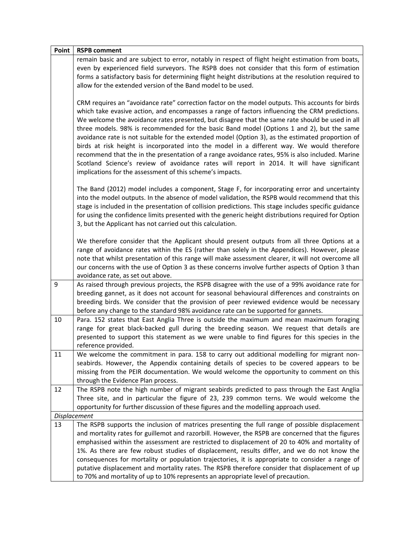| Point | <b>RSPB comment</b>                                                                                                                                                                                                                                                                                                                                                                                                                                                                                                                                                                                                                                                                                                                                                                                                                                                |
|-------|--------------------------------------------------------------------------------------------------------------------------------------------------------------------------------------------------------------------------------------------------------------------------------------------------------------------------------------------------------------------------------------------------------------------------------------------------------------------------------------------------------------------------------------------------------------------------------------------------------------------------------------------------------------------------------------------------------------------------------------------------------------------------------------------------------------------------------------------------------------------|
|       | remain basic and are subject to error, notably in respect of flight height estimation from boats,<br>even by experienced field surveyors. The RSPB does not consider that this form of estimation<br>forms a satisfactory basis for determining flight height distributions at the resolution required to<br>allow for the extended version of the Band model to be used.                                                                                                                                                                                                                                                                                                                                                                                                                                                                                          |
|       | CRM requires an "avoidance rate" correction factor on the model outputs. This accounts for birds<br>which take evasive action, and encompasses a range of factors influencing the CRM predictions.<br>We welcome the avoidance rates presented, but disagree that the same rate should be used in all<br>three models. 98% is recommended for the basic Band model (Options 1 and 2), but the same<br>avoidance rate is not suitable for the extended model (Option 3), as the estimated proportion of<br>birds at risk height is incorporated into the model in a different way. We would therefore<br>recommend that the in the presentation of a range avoidance rates, 95% is also included. Marine<br>Scotland Science's review of avoidance rates will report in 2014. It will have significant<br>implications for the assessment of this scheme's impacts. |
|       | The Band (2012) model includes a component, Stage F, for incorporating error and uncertainty<br>into the model outputs. In the absence of model validation, the RSPB would recommend that this<br>stage is included in the presentation of collision predictions. This stage includes specific guidance<br>for using the confidence limits presented with the generic height distributions required for Option<br>3, but the Applicant has not carried out this calculation.                                                                                                                                                                                                                                                                                                                                                                                       |
|       | We therefore consider that the Applicant should present outputs from all three Options at a<br>range of avoidance rates within the ES (rather than solely in the Appendices). However, please<br>note that whilst presentation of this range will make assessment clearer, it will not overcome all<br>our concerns with the use of Option 3 as these concerns involve further aspects of Option 3 than<br>avoidance rate, as set out above.                                                                                                                                                                                                                                                                                                                                                                                                                       |
| 9     | As raised through previous projects, the RSPB disagree with the use of a 99% avoidance rate for<br>breeding gannet, as it does not account for seasonal behavioural differences and constraints on<br>breeding birds. We consider that the provision of peer reviewed evidence would be necessary<br>before any change to the standard 98% avoidance rate can be supported for gannets.                                                                                                                                                                                                                                                                                                                                                                                                                                                                            |
| 10    | Para. 152 states that East Anglia Three is outside the maximum and mean maximum foraging<br>range for great black-backed gull during the breeding season. We request that details are<br>presented to support this statement as we were unable to find figures for this species in the<br>reference provided.                                                                                                                                                                                                                                                                                                                                                                                                                                                                                                                                                      |
| 11    | We welcome the commitment in para. 158 to carry out additional modelling for migrant non-<br>seabirds. However, the Appendix containing details of species to be covered appears to be<br>missing from the PEIR documentation. We would welcome the opportunity to comment on this<br>through the Evidence Plan process.                                                                                                                                                                                                                                                                                                                                                                                                                                                                                                                                           |
| 12    | The RSPB note the high number of migrant seabirds predicted to pass through the East Anglia<br>Three site, and in particular the figure of 23, 239 common terns. We would welcome the<br>opportunity for further discussion of these figures and the modelling approach used.                                                                                                                                                                                                                                                                                                                                                                                                                                                                                                                                                                                      |
|       | Displacement                                                                                                                                                                                                                                                                                                                                                                                                                                                                                                                                                                                                                                                                                                                                                                                                                                                       |
| 13    | The RSPB supports the inclusion of matrices presenting the full range of possible displacement<br>and mortality rates for guillemot and razorbill. However, the RSPB are concerned that the figures<br>emphasised within the assessment are restricted to displacement of 20 to 40% and mortality of<br>1%. As there are few robust studies of displacement, results differ, and we do not know the<br>consequences for mortality or population trajectories, it is appropriate to consider a range of<br>putative displacement and mortality rates. The RSPB therefore consider that displacement of up<br>to 70% and mortality of up to 10% represents an appropriate level of precaution.                                                                                                                                                                       |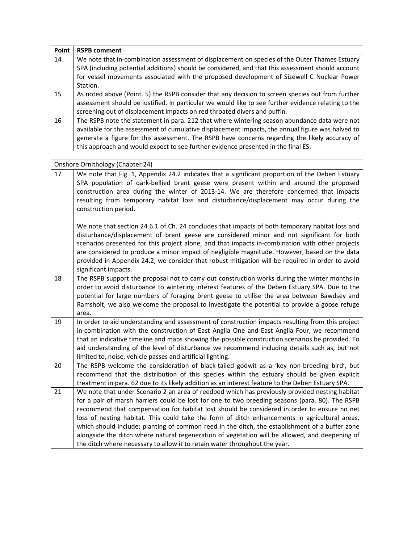| Point | <b>RSPB comment</b>                                                                                                                                                                                                                                                                                                                                                                                                                                                                                                                                                                                                                                                                  |
|-------|--------------------------------------------------------------------------------------------------------------------------------------------------------------------------------------------------------------------------------------------------------------------------------------------------------------------------------------------------------------------------------------------------------------------------------------------------------------------------------------------------------------------------------------------------------------------------------------------------------------------------------------------------------------------------------------|
| 14    | We note that in-combination assessment of displacement on species of the Outer Thames Estuary<br>SPA (including potential additions) should be considered, and that this assessment should account<br>for vessel movements associated with the proposed development of Sizewell C Nuclear Power                                                                                                                                                                                                                                                                                                                                                                                      |
|       | Station.                                                                                                                                                                                                                                                                                                                                                                                                                                                                                                                                                                                                                                                                             |
| 15    | As noted above (Point. 5) the RSPB consider that any decision to screen species out from further<br>assessment should be justified. In particular we would like to see further evidence relating to the<br>screening out of displacement impacts on red throated divers and puffin.                                                                                                                                                                                                                                                                                                                                                                                                  |
| 16    | The RSPB note the statement in para. 212 that where wintering season abundance data were not<br>available for the assessment of cumulative displacement impacts, the annual figure was halved to<br>generate a figure for this assessment. The RSPB have concerns regarding the likely accuracy of<br>this approach and would expect to see further evidence presented in the final ES.                                                                                                                                                                                                                                                                                              |
|       |                                                                                                                                                                                                                                                                                                                                                                                                                                                                                                                                                                                                                                                                                      |
|       | Onshore Ornithology (Chapter 24)                                                                                                                                                                                                                                                                                                                                                                                                                                                                                                                                                                                                                                                     |
| 17    | We note that Fig. 1, Appendix 24.2 indicates that a significant proportion of the Deben Estuary<br>SPA population of dark-bellied brent geese were present within and around the proposed<br>construction area during the winter of 2013-14. We are therefore concerned that impacts<br>resulting from temporary habitat loss and disturbance/displacement may occur during the<br>construction period.                                                                                                                                                                                                                                                                              |
|       | We note that section 24.6.1 of Ch. 24 concludes that impacts of both temporary habitat loss and<br>disturbance/displacement of brent geese are considered minor and not significant for both<br>scenarios presented for this project alone, and that impacts in-combination with other projects<br>are considered to produce a minor impact of negligible magnitude. However, based on the data<br>provided in Appendix 24.2, we consider that robust mitigation will be required in order to avoid<br>significant impacts.                                                                                                                                                          |
| 18    | The RSPB support the proposal not to carry out construction works during the winter months in<br>order to avoid disturbance to wintering interest features of the Deben Estuary SPA. Due to the<br>potential for large numbers of foraging brent geese to utilise the area between Bawdsey and<br>Ramsholt, we also welcome the proposal to investigate the potential to provide a goose refuge<br>area.                                                                                                                                                                                                                                                                             |
| 19    | In order to aid understanding and assessment of construction impacts resulting from this project<br>in-combination with the construction of East Anglia One and East Anglia Four, we recommend<br>that an indicative timeline and maps showing the possible construction scenarios be provided. To<br>aid understanding of the level of disturbance we recommend including details such as, but not<br>limited to, noise, vehicle passes and artificial lighting.                                                                                                                                                                                                                    |
| 20    | The RSPB welcome the consideration of black-tailed godwit as a 'key non-breeding bird', but<br>recommend that the distribution of this species within the estuary should be given explicit<br>treatment in para. 62 due to its likely addition as an interest feature to the Deben Estuary SPA.                                                                                                                                                                                                                                                                                                                                                                                      |
| 21    | We note that under Scenario 2 an area of reedbed which has previously provided nesting habitat<br>for a pair of marsh harriers could be lost for one to two breeding seasons (para. 80). The RSPB<br>recommend that compensation for habitat lost should be considered in order to ensure no net<br>loss of nesting habitat. This could take the form of ditch enhancements in agricultural areas,<br>which should include; planting of common reed in the ditch, the establishment of a buffer zone<br>alongside the ditch where natural regeneration of vegetation will be allowed, and deepening of<br>the ditch where necessary to allow it to retain water throughout the year. |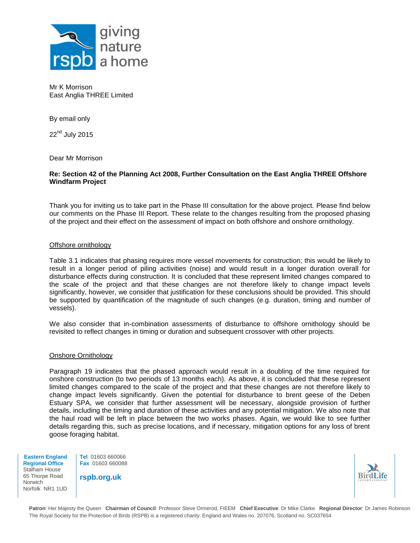

Mr K Morrison East Anglia THREE Limited

By email only

 $22<sup>nd</sup>$  July 2015

Dear Mr Morrison

### **Re: Section 42 of the Planning Act 2008, Further Consultation on the East Anglia THREE Offshore Windfarm Project**

Thank you for inviting us to take part in the Phase III consultation for the above project. Please find below our comments on the Phase III Report. These relate to the changes resulting from the proposed phasing of the project and their effect on the assessment of impact on both offshore and onshore ornithology.

### Offshore ornithology

Table 3.1 indicates that phasing requires more vessel movements for construction; this would be likely to result in a longer period of piling activities (noise) and would result in a longer duration overall for disturbance effects during construction. It is concluded that these represent limited changes compared to the scale of the project and that these changes are not therefore likely to change impact levels significantly, however, we consider that justification for these conclusions should be provided. This should be supported by quantification of the magnitude of such changes (e.g. duration, timing and number of vessels).

We also consider that in-combination assessments of disturbance to offshore ornithology should be revisited to reflect changes in timing or duration and subsequent crossover with other projects.

### Onshore Ornithology

Paragraph 19 indicates that the phased approach would result in a doubling of the time required for onshore construction (to two periods of 13 months each). As above, it is concluded that these represent limited changes compared to the scale of the project and that these changes are not therefore likely to change impact levels significantly. Given the potential for disturbance to brent geese of the Deben Estuary SPA, we consider that further assessment will be necessary, alongside provision of further details, including the timing and duration of these activities and any potential mitigation. We also note that the haul road will be left in place between the two works phases. Again, we would like to see further details regarding this, such as precise locations, and if necessary, mitigation options for any loss of brent goose foraging habitat.

 **Eastern England Regional Office** Stalham House 65 Thorpe Road Norwich Norfolk NR1 1UD

**Tel** 01603 660066 **Fax** 01603 660088

**rspb.org.uk**



 **Patron**: Her Majesty the Queen **Chairman of Council**: Professor Steve Ormerod, FIEEM **Chief Executive**: Dr Mike Clarke **Regional Director**: Dr James Robinson The Royal Society for the Protection of Birds (RSPB) is a registered charity: England and Wales no. 207076, Scotland no. SC037654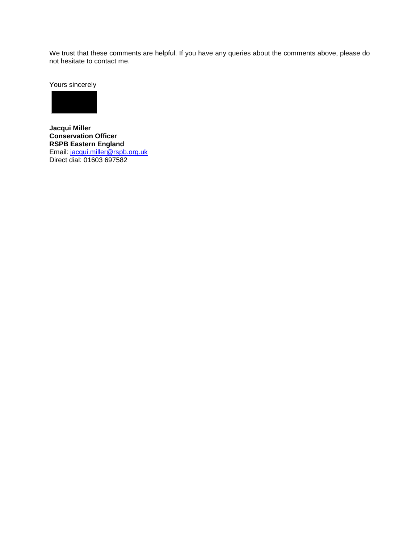We trust that these comments are helpful. If you have any queries about the comments above, please do not hesitate to contact me.

Yours sincerely



**Jacqui Miller Conservation Officer RSPB Eastern England**  Email: [jacqui.miller@rspb.org.uk](mailto:jacqui.miller@rspb.org.uk)  Direct dial: 01603 697582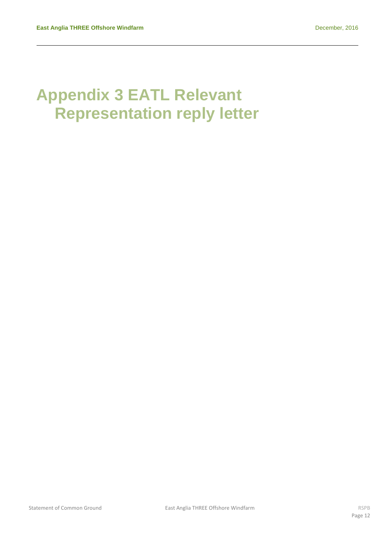# <span id="page-19-1"></span><span id="page-19-0"></span>**Appendix 3 EATL Relevant Representation reply letter**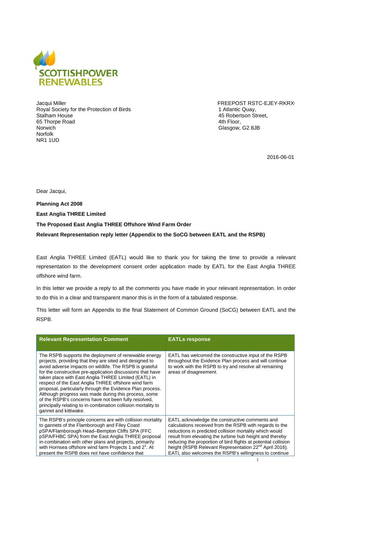

Jacqui Miller Royal Society for the Protection of Birds Stalham House 65 Thorpe Road **Norwich** Norfolk NR1 1UD

FREEPOST RSTC-EJEY-RKRX 1 Atlantic Quay, 45 Robertson Street, 4th Floor, Glasgow, G2 8JB

2016-06-01

Dear Jacqui,

**Planning Act 2008**

**East Anglia THREE Limited**

**The Proposed East Anglia THREE Offshore Wind Farm Order**

#### **Relevant Representation reply letter (Appendix to the SoCG between EATL and the RSPB)**

East Anglia THREE Limited (EATL) would like to thank you for taking the time to provide a relevant representation to the development consent order application made by EATL for the East Anglia THREE offshore wind farm.

In this letter we provide a reply to all the comments you have made in your relevant representation. In order to do this in a clear and transparent manor this is in the form of a tabulated response.

This letter will form an Appendix to the final Statement of Common Ground (SoCG) between EATL and the RSPB.

| <b>Relevant Representation Comment</b>                                                                                                                                                                                                                                                                                                                                                                                                                                                                                                                                                                                         | <b>EATLs response</b>                                                                                                                                                                                                                                                                                                                                                                                                             |
|--------------------------------------------------------------------------------------------------------------------------------------------------------------------------------------------------------------------------------------------------------------------------------------------------------------------------------------------------------------------------------------------------------------------------------------------------------------------------------------------------------------------------------------------------------------------------------------------------------------------------------|-----------------------------------------------------------------------------------------------------------------------------------------------------------------------------------------------------------------------------------------------------------------------------------------------------------------------------------------------------------------------------------------------------------------------------------|
| The RSPB supports the deployment of renewable energy<br>projects, providing that they are sited and designed to<br>avoid adverse impacts on wildlife. The RSPB is grateful<br>for the constructive pre-application discussions that have<br>taken place with East Anglia THREE Limited (EATL) in<br>respect of the East Anglia THREE offshore wind farm<br>proposal, particularly through the Evidence Plan process.<br>Although progress was made during this process, some<br>of the RSPB's concerns have not been fully resolved.<br>principally relating to in-combination collision mortality to<br>gannet and kittiwake. | EATL has welcomed the constructive input of the RSPB<br>throughout the Evidence Plan process and will continue<br>to work with the RSPB to try and resolve all remaining<br>areas of disagreement.                                                                                                                                                                                                                                |
| The RSPB's principle concerns are with collision mortality<br>to gannets of the Flamborough and Filey Coast<br>pSPA/Flamborough Head-Bempton Cliffs SPA (FFC<br>pSPA/FHBC SPA) from the East Anglia THREE proposal<br>in-combination with other plans and projects, primarily<br>with Hornsea offshore wind farm Projects 1 and 2 <sup>1</sup> . At<br>present the RSPB does not have confidence that                                                                                                                                                                                                                          | EATL acknowledge the constructive comments and<br>calculations received from the RSPB with regards to the<br>reductions in predicted collision mortality which would<br>result from elevating the turbine hub height and thereby<br>reducing the proportion of bird flights at potential collision<br>height (RSPB Relevant Representation 22 <sup>nd</sup> April 2016).<br>EATL also welcomes the RSPB's willingness to continue |
|                                                                                                                                                                                                                                                                                                                                                                                                                                                                                                                                                                                                                                |                                                                                                                                                                                                                                                                                                                                                                                                                                   |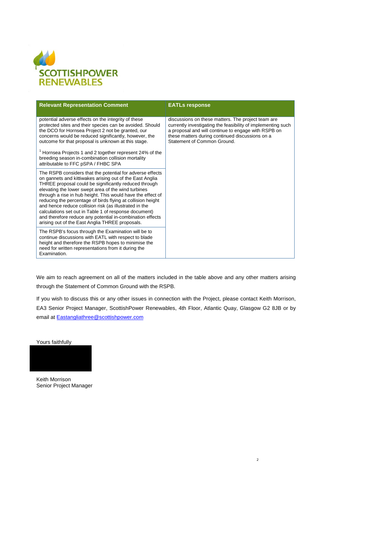

| <b>Relevant Representation Comment</b>                                                                                                                                                                                                                                                                                                                                                                                                                                                                                                                                                                 | <b>EATLs response</b>                                                                                                                                                                                                                                       |
|--------------------------------------------------------------------------------------------------------------------------------------------------------------------------------------------------------------------------------------------------------------------------------------------------------------------------------------------------------------------------------------------------------------------------------------------------------------------------------------------------------------------------------------------------------------------------------------------------------|-------------------------------------------------------------------------------------------------------------------------------------------------------------------------------------------------------------------------------------------------------------|
| potential adverse effects on the integrity of these<br>protected sites and their species can be avoided. Should<br>the DCO for Hornsea Project 2 not be granted, our<br>concerns would be reduced significantly, however, the<br>outcome for that proposal is unknown at this stage.                                                                                                                                                                                                                                                                                                                   | discussions on these matters. The project team are<br>currently investigating the feasibility of implementing such<br>a proposal and will continue to engage with RSPB on<br>these matters during continued discussions on a<br>Statement of Common Ground. |
| <sup>1</sup> Hornsea Projects 1 and 2 together represent 24% of the<br>breeding season in-combination collision mortality<br>attributable to FFC pSPA / FHBC SPA                                                                                                                                                                                                                                                                                                                                                                                                                                       |                                                                                                                                                                                                                                                             |
| The RSPB considers that the potential for adverse effects<br>on gannets and kittiwakes arising out of the East Anglia<br>THREE proposal could be significantly reduced through<br>elevating the lower swept area of the wind turbines<br>through a rise in hub height. This would have the effect of<br>reducing the percentage of birds flying at collision height<br>and hence reduce collision risk (as illustrated in the<br>calculations set out in Table 1 of response document)<br>and therefore reduce any potential in-combination effects<br>arising out of the East Anglia THREE proposals. |                                                                                                                                                                                                                                                             |
| The RSPB's focus through the Examination will be to<br>continue discussions with EATL with respect to blade<br>height and therefore the RSPB hopes to minimise the<br>need for written representations from it during the<br>Examination.                                                                                                                                                                                                                                                                                                                                                              |                                                                                                                                                                                                                                                             |

We aim to reach agreement on all of the matters included in the table above and any other matters arising through the Statement of Common Ground with the RSPB.

If you wish to discuss this or any other issues in connection with the Project, please contact Keith Morrison, EA3 Senior Project Manager, ScottishPower Renewables, 4th Floor, Atlantic Quay, Glasgow G2 8JB or by email at **Eastangliathree@scottishpower.com** 

2

Yours faithfully

Keith Morrison Senior Project Manager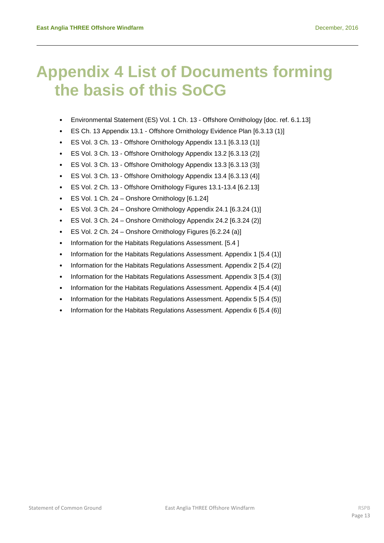# **Appendix 4 List of Documents forming the basis of this SoCG**

- Environmental Statement (ES) Vol. 1 Ch. 13 Offshore Ornithology [doc. ref. 6.1.13]
- ES Ch. 13 Appendix 13.1 Offshore Ornithology Evidence Plan [6.3.13 (1)]
- ES Vol. 3 Ch. 13 Offshore Ornithology Appendix 13.1 [6.3.13 (1)]
- ES Vol. 3 Ch. 13 Offshore Ornithology Appendix 13.2 [6.3.13 (2)]
- ES Vol. 3 Ch. 13 Offshore Ornithology Appendix 13.3 [6.3.13 (3)]
- ES Vol. 3 Ch. 13 Offshore Ornithology Appendix 13.4 [6.3.13 (4)]
- ES Vol. 2 Ch. 13 Offshore Ornithology Figures 13.1-13.4 [6.2.13]
- ES Vol. 1 Ch. 24 Onshore Ornithology [6.1.24]
- ES Vol. 3 Ch. 24 Onshore Ornithology Appendix 24.1 [6.3.24 (1)]
- ES Vol. 3 Ch. 24 Onshore Ornithology Appendix 24.2 [6.3.24 (2)]
- ES Vol. 2 Ch. 24 Onshore Ornithology Figures [6.2.24 (a)]
- Information for the Habitats Regulations Assessment. [5.4 ]
- Information for the Habitats Regulations Assessment. Appendix 1 [5.4 (1)]
- Information for the Habitats Regulations Assessment. Appendix 2 [5.4 (2)]
- Information for the Habitats Regulations Assessment. Appendix 3 [5.4 (3)]
- Information for the Habitats Regulations Assessment. Appendix 4 [5.4 (4)]
- Information for the Habitats Regulations Assessment. Appendix 5 [5.4 (5)]
- Information for the Habitats Regulations Assessment. Appendix 6 [5.4 (6)]